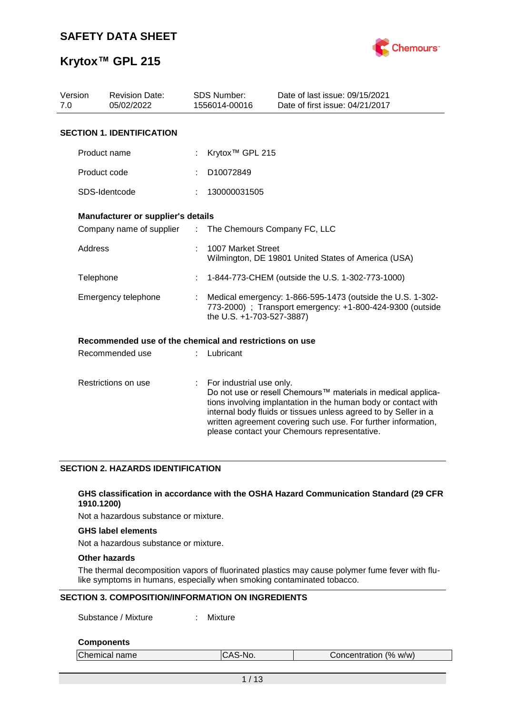

| Version<br>7.0 | <b>Revision Date:</b><br>05/02/2022                     |               | <b>SDS Number:</b><br>1556014-00016                                                                                                                  | Date of last issue: 09/15/2021<br>Date of first issue: 04/21/2017                                                                                                                                                                                                                                                  |  |
|----------------|---------------------------------------------------------|---------------|------------------------------------------------------------------------------------------------------------------------------------------------------|--------------------------------------------------------------------------------------------------------------------------------------------------------------------------------------------------------------------------------------------------------------------------------------------------------------------|--|
|                | <b>SECTION 1. IDENTIFICATION</b>                        |               |                                                                                                                                                      |                                                                                                                                                                                                                                                                                                                    |  |
|                | Product name                                            |               | Krytox <sup>™</sup> GPL 215                                                                                                                          |                                                                                                                                                                                                                                                                                                                    |  |
|                | Product code                                            |               | D10072849                                                                                                                                            |                                                                                                                                                                                                                                                                                                                    |  |
|                | SDS-Identcode                                           |               | 130000031505                                                                                                                                         |                                                                                                                                                                                                                                                                                                                    |  |
|                | Manufacturer or supplier's details                      |               |                                                                                                                                                      |                                                                                                                                                                                                                                                                                                                    |  |
|                | Company name of supplier                                | $\mathcal{L}$ | The Chemours Company FC, LLC                                                                                                                         |                                                                                                                                                                                                                                                                                                                    |  |
| Address        |                                                         |               | 1007 Market Street                                                                                                                                   | Wilmington, DE 19801 United States of America (USA)                                                                                                                                                                                                                                                                |  |
|                | Telephone                                               |               |                                                                                                                                                      | 1-844-773-CHEM (outside the U.S. 1-302-773-1000)                                                                                                                                                                                                                                                                   |  |
|                | Emergency telephone                                     |               | Medical emergency: 1-866-595-1473 (outside the U.S. 1-302-<br>773-2000) ; Transport emergency: +1-800-424-9300 (outside<br>the U.S. +1-703-527-3887) |                                                                                                                                                                                                                                                                                                                    |  |
|                | Recommended use of the chemical and restrictions on use |               |                                                                                                                                                      |                                                                                                                                                                                                                                                                                                                    |  |
|                | Recommended use                                         |               | Lubricant                                                                                                                                            |                                                                                                                                                                                                                                                                                                                    |  |
|                | Restrictions on use                                     | ÷             | For industrial use only.                                                                                                                             | Do not use or resell Chemours™ materials in medical applica-<br>tions involving implantation in the human body or contact with<br>internal body fluids or tissues unless agreed to by Seller in a<br>written agreement covering such use. For further information,<br>please contact your Chemours representative. |  |

#### **SECTION 2. HAZARDS IDENTIFICATION**

#### **GHS classification in accordance with the OSHA Hazard Communication Standard (29 CFR 1910.1200)**

Not a hazardous substance or mixture.

#### **GHS label elements**

Not a hazardous substance or mixture.

#### **Other hazards**

The thermal decomposition vapors of fluorinated plastics may cause polymer fume fever with flulike symptoms in humans, especially when smoking contaminated tobacco.

#### **SECTION 3. COMPOSITION/INFORMATION ON INGREDIENTS**

Substance / Mixture : Mixture

#### **Components**

| Chemical name | CAS-No. | Concentration (% w/w) |
|---------------|---------|-----------------------|
|               |         |                       |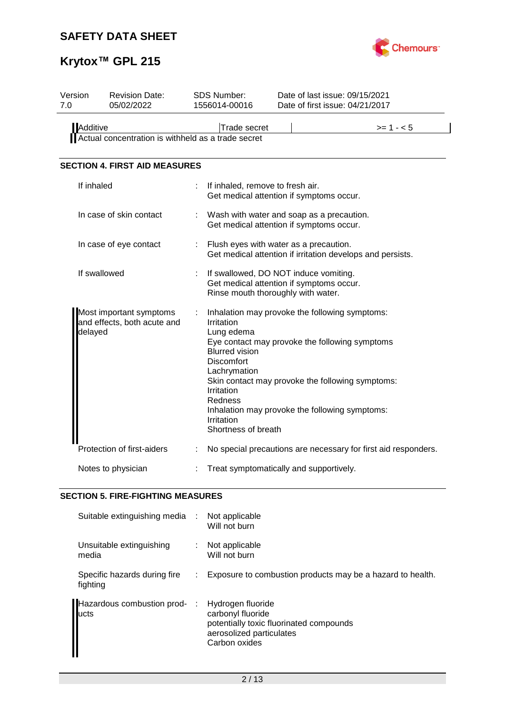

# **Krytox™ GPL 215**

| Version<br>7.0 | <b>Revision Date:</b><br>05/02/2022                    |   | SDS Number:<br>1556014-00016                                                                                                                         | Date of last issue: 09/15/2021<br>Date of first issue: 04/21/2017                                                                                                                                      |
|----------------|--------------------------------------------------------|---|------------------------------------------------------------------------------------------------------------------------------------------------------|--------------------------------------------------------------------------------------------------------------------------------------------------------------------------------------------------------|
| Additive       | Actual concentration is withheld as a trade secret     |   | Trade secret                                                                                                                                         | $>= 1 - 5$                                                                                                                                                                                             |
|                | <b>SECTION 4. FIRST AID MEASURES</b>                   |   |                                                                                                                                                      |                                                                                                                                                                                                        |
| If inhaled     |                                                        |   | If inhaled, remove to fresh air.                                                                                                                     | Get medical attention if symptoms occur.                                                                                                                                                               |
|                | In case of skin contact                                |   |                                                                                                                                                      | Wash with water and soap as a precaution.<br>Get medical attention if symptoms occur.                                                                                                                  |
|                | In case of eye contact                                 |   |                                                                                                                                                      | Flush eyes with water as a precaution.<br>Get medical attention if irritation develops and persists.                                                                                                   |
|                | If swallowed                                           |   | Rinse mouth thoroughly with water.                                                                                                                   | If swallowed, DO NOT induce vomiting.<br>Get medical attention if symptoms occur.                                                                                                                      |
| delayed        | Most important symptoms<br>and effects, both acute and | ÷ | Irritation<br>Lung edema<br><b>Blurred vision</b><br><b>Discomfort</b><br>Lachrymation<br>Irritation<br>Redness<br>Irritation<br>Shortness of breath | Inhalation may provoke the following symptoms:<br>Eye contact may provoke the following symptoms<br>Skin contact may provoke the following symptoms:<br>Inhalation may provoke the following symptoms: |
|                | Protection of first-aiders                             |   |                                                                                                                                                      | No special precautions are necessary for first aid responders.                                                                                                                                         |
|                | Notes to physician                                     |   |                                                                                                                                                      | Treat symptomatically and supportively.                                                                                                                                                                |

## **SECTION 5. FIRE-FIGHTING MEASURES**

| Suitable extinguishing media :           |               | Not applicable<br>Will not burn                                                                                                |
|------------------------------------------|---------------|--------------------------------------------------------------------------------------------------------------------------------|
| Unsuitable extinguishing<br>media        |               | Not applicable<br>Will not burn                                                                                                |
| Specific hazards during fire<br>fighting |               | Exposure to combustion products may be a hazard to health.                                                                     |
| Hazardous combustion prod-<br>lucts      | $\mathcal{L}$ | Hydrogen fluoride<br>carbonyl fluoride<br>potentially toxic fluorinated compounds<br>aerosolized particulates<br>Carbon oxides |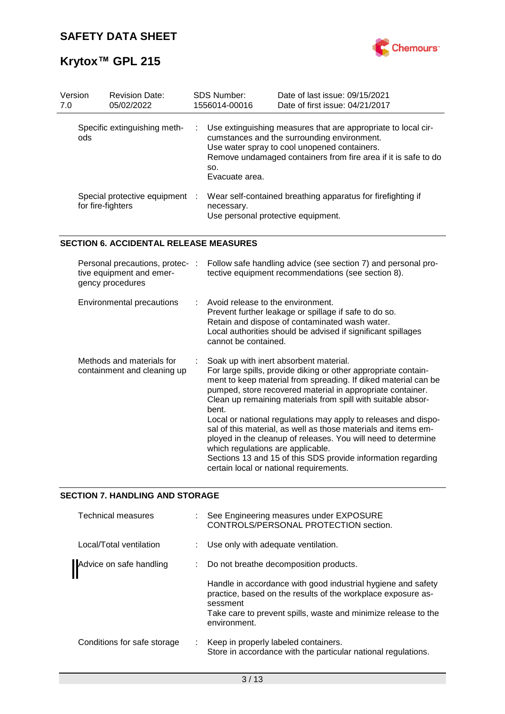

| Version<br>7.0 | <b>Revision Date:</b><br>05/02/2022               |   | <b>SDS Number:</b><br>1556014-00016 | Date of last issue: 09/15/2021<br>Date of first issue: 04/21/2017                                                                                                                                                                |
|----------------|---------------------------------------------------|---|-------------------------------------|----------------------------------------------------------------------------------------------------------------------------------------------------------------------------------------------------------------------------------|
| ods            | Specific extinguishing meth-                      |   | SO.<br>Evacuate area.               | : Use extinguishing measures that are appropriate to local cir-<br>cumstances and the surrounding environment.<br>Use water spray to cool unopened containers.<br>Remove undamaged containers from fire area if it is safe to do |
|                | Special protective equipment<br>for fire-fighters | ÷ | necessary.                          | Wear self-contained breathing apparatus for firefighting if<br>Use personal protective equipment.                                                                                                                                |

### **SECTION 6. ACCIDENTAL RELEASE MEASURES**

| Personal precautions, protec-:<br>tive equipment and emer-<br>gency procedures | Follow safe handling advice (see section 7) and personal pro-<br>tective equipment recommendations (see section 8).                                                                                                                                                                                                                                                                                                                                                                                                                                                                                                                                                    |
|--------------------------------------------------------------------------------|------------------------------------------------------------------------------------------------------------------------------------------------------------------------------------------------------------------------------------------------------------------------------------------------------------------------------------------------------------------------------------------------------------------------------------------------------------------------------------------------------------------------------------------------------------------------------------------------------------------------------------------------------------------------|
| Environmental precautions                                                      | $\therefore$ Avoid release to the environment.<br>Prevent further leakage or spillage if safe to do so.<br>Retain and dispose of contaminated wash water.<br>Local authorities should be advised if significant spillages<br>cannot be contained.                                                                                                                                                                                                                                                                                                                                                                                                                      |
| Methods and materials for<br>containment and cleaning up                       | Soak up with inert absorbent material.<br>For large spills, provide diking or other appropriate contain-<br>ment to keep material from spreading. If diked material can be<br>pumped, store recovered material in appropriate container.<br>Clean up remaining materials from spill with suitable absor-<br>bent.<br>Local or national regulations may apply to releases and dispo-<br>sal of this material, as well as those materials and items em-<br>ployed in the cleanup of releases. You will need to determine<br>which regulations are applicable.<br>Sections 13 and 15 of this SDS provide information regarding<br>certain local or national requirements. |

### **SECTION 7. HANDLING AND STORAGE**

| Technical measures          | : See Engineering measures under EXPOSURE<br>CONTROLS/PERSONAL PROTECTION section.                                                                         |
|-----------------------------|------------------------------------------------------------------------------------------------------------------------------------------------------------|
| Local/Total ventilation     | Use only with adequate ventilation.                                                                                                                        |
| Advice on safe handling     | : Do not breathe decomposition products.<br>Handle in accordance with good industrial hygiene and safety                                                   |
|                             | practice, based on the results of the workplace exposure as-<br>sessment<br>Take care to prevent spills, waste and minimize release to the<br>environment. |
| Conditions for safe storage | Keep in properly labeled containers.<br>Store in accordance with the particular national regulations.                                                      |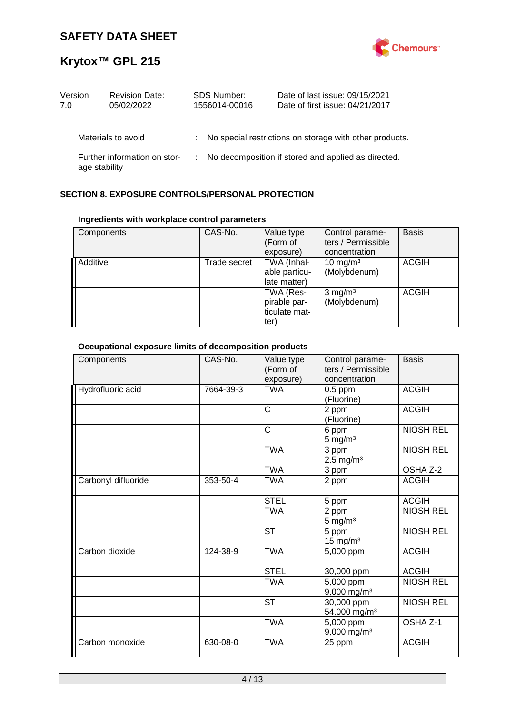

| Version<br>7.0 | <b>Revision Date:</b><br>05/02/2022 | <b>SDS Number:</b><br>1556014-00016 | Date of last issue: 09/15/2021<br>Date of first issue: 04/21/2017 |
|----------------|-------------------------------------|-------------------------------------|-------------------------------------------------------------------|
|                | Materials to avoid                  |                                     | : No special restrictions on storage with other products.         |
| age stability  | Further information on stor-        |                                     | No decomposition if stored and applied as directed.               |

### **SECTION 8. EXPOSURE CONTROLS/PERSONAL PROTECTION**

#### **Ingredients with workplace control parameters**

| Components | CAS-No.      | Value type<br>(Form of<br>exposure)                | Control parame-<br>ters / Permissible<br>concentration | <b>Basis</b> |
|------------|--------------|----------------------------------------------------|--------------------------------------------------------|--------------|
| Additive   | Trade secret | TWA (Inhal-<br>able particu-<br>late matter)       | 10 mg/m <sup>3</sup><br>(Molybdenum)                   | <b>ACGIH</b> |
|            |              | TWA (Res-<br>pirable par-<br>ticulate mat-<br>ter) | $3$ mg/m <sup>3</sup><br>(Molybdenum)                  | <b>ACGIH</b> |

## **Occupational exposure limits of decomposition products**

| Components          | CAS-No.   | Value type<br>(Form of<br>exposure) | Control parame-<br>ters / Permissible<br>concentration | <b>Basis</b>     |
|---------------------|-----------|-------------------------------------|--------------------------------------------------------|------------------|
| Hydrofluoric acid   | 7664-39-3 | <b>TWA</b>                          | $0.5$ ppm<br>(Fluorine)                                | <b>ACGIH</b>     |
|                     |           | $\mathsf{C}$                        | 2 ppm<br>(Fluorine)                                    | <b>ACGIH</b>     |
|                     |           | $\mathsf{C}$                        | 6 ppm<br>$5 \text{ mg/m}^3$                            | <b>NIOSH REL</b> |
|                     |           | <b>TWA</b>                          | 3 ppm<br>$2.5 \text{ mg/m}^3$                          | <b>NIOSH REL</b> |
|                     |           | <b>TWA</b>                          | 3 ppm                                                  | OSHA Z-2         |
| Carbonyl difluoride | 353-50-4  | <b>TWA</b>                          | 2 ppm                                                  | <b>ACGIH</b>     |
|                     |           | <b>STEL</b>                         | 5 ppm                                                  | <b>ACGIH</b>     |
|                     |           | <b>TWA</b>                          | 2 ppm<br>$5 \text{ mg/m}^3$                            | <b>NIOSH REL</b> |
|                     |           | <b>ST</b>                           | 5 ppm<br>$15 \text{ mg/m}^3$                           | <b>NIOSH REL</b> |
| Carbon dioxide      | 124-38-9  | <b>TWA</b>                          | 5,000 ppm                                              | <b>ACGIH</b>     |
|                     |           | <b>STEL</b>                         | 30,000 ppm                                             | <b>ACGIH</b>     |
|                     |           | <b>TWA</b>                          | 5,000 ppm<br>$9,000$ mg/m <sup>3</sup>                 | <b>NIOSH REL</b> |
|                     |           | <b>ST</b>                           | 30,000 ppm<br>54,000 mg/m <sup>3</sup>                 | <b>NIOSH REL</b> |
|                     |           | <b>TWA</b>                          | 5,000 ppm<br>9,000 mg/m <sup>3</sup>                   | OSHA Z-1         |
| Carbon monoxide     | 630-08-0  | <b>TWA</b>                          | 25 ppm                                                 | <b>ACGIH</b>     |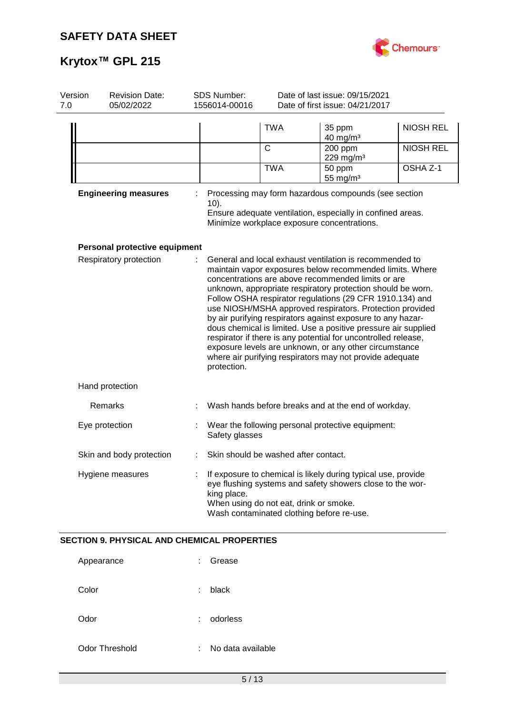

| Version<br>7.0 | <b>Revision Date:</b><br>05/02/2022                | SDS Number:<br>1556014-00016 |                                                                                     | Date of last issue: 09/15/2021<br>Date of first issue: 04/21/2017                                                                                                                                                                                                                                                                                                                                                                                                                                                                                                                                                                                                                         |                  |
|----------------|----------------------------------------------------|------------------------------|-------------------------------------------------------------------------------------|-------------------------------------------------------------------------------------------------------------------------------------------------------------------------------------------------------------------------------------------------------------------------------------------------------------------------------------------------------------------------------------------------------------------------------------------------------------------------------------------------------------------------------------------------------------------------------------------------------------------------------------------------------------------------------------------|------------------|
|                |                                                    |                              | <b>TWA</b>                                                                          | 35 ppm<br>40 mg/m <sup>3</sup>                                                                                                                                                                                                                                                                                                                                                                                                                                                                                                                                                                                                                                                            | <b>NIOSH REL</b> |
|                |                                                    |                              | $\mathsf{C}$                                                                        | 200 ppm<br>229 mg/m <sup>3</sup>                                                                                                                                                                                                                                                                                                                                                                                                                                                                                                                                                                                                                                                          | <b>NIOSH REL</b> |
|                |                                                    |                              | <b>TWA</b>                                                                          | 50 ppm<br>55 mg/m <sup>3</sup>                                                                                                                                                                                                                                                                                                                                                                                                                                                                                                                                                                                                                                                            | OSHA Z-1         |
|                | <b>Engineering measures</b>                        | 10).                         |                                                                                     | Processing may form hazardous compounds (see section<br>Ensure adequate ventilation, especially in confined areas.<br>Minimize workplace exposure concentrations.                                                                                                                                                                                                                                                                                                                                                                                                                                                                                                                         |                  |
|                | Personal protective equipment                      |                              |                                                                                     |                                                                                                                                                                                                                                                                                                                                                                                                                                                                                                                                                                                                                                                                                           |                  |
|                | Respiratory protection                             | protection.                  |                                                                                     | General and local exhaust ventilation is recommended to<br>maintain vapor exposures below recommended limits. Where<br>concentrations are above recommended limits or are<br>unknown, appropriate respiratory protection should be worn.<br>Follow OSHA respirator regulations (29 CFR 1910.134) and<br>use NIOSH/MSHA approved respirators. Protection provided<br>by air purifying respirators against exposure to any hazar-<br>dous chemical is limited. Use a positive pressure air supplied<br>respirator if there is any potential for uncontrolled release,<br>exposure levels are unknown, or any other circumstance<br>where air purifying respirators may not provide adequate |                  |
|                | Hand protection                                    |                              |                                                                                     |                                                                                                                                                                                                                                                                                                                                                                                                                                                                                                                                                                                                                                                                                           |                  |
|                | Remarks                                            |                              |                                                                                     | Wash hands before breaks and at the end of workday.                                                                                                                                                                                                                                                                                                                                                                                                                                                                                                                                                                                                                                       |                  |
|                | Eye protection                                     | Safety glasses               |                                                                                     | Wear the following personal protective equipment:                                                                                                                                                                                                                                                                                                                                                                                                                                                                                                                                                                                                                                         |                  |
|                | Skin and body protection                           |                              | Skin should be washed after contact.                                                |                                                                                                                                                                                                                                                                                                                                                                                                                                                                                                                                                                                                                                                                                           |                  |
|                | Hygiene measures                                   | king place.                  | When using do not eat, drink or smoke.<br>Wash contaminated clothing before re-use. | If exposure to chemical is likely during typical use, provide<br>eye flushing systems and safety showers close to the wor-                                                                                                                                                                                                                                                                                                                                                                                                                                                                                                                                                                |                  |
|                | <b>SECTION 9. PHYSICAL AND CHEMICAL PROPERTIES</b> |                              |                                                                                     |                                                                                                                                                                                                                                                                                                                                                                                                                                                                                                                                                                                                                                                                                           |                  |
|                | Appearance                                         | Grease                       |                                                                                     |                                                                                                                                                                                                                                                                                                                                                                                                                                                                                                                                                                                                                                                                                           |                  |
|                | Color                                              | black                        |                                                                                     |                                                                                                                                                                                                                                                                                                                                                                                                                                                                                                                                                                                                                                                                                           |                  |
| Odor           |                                                    | odorless                     |                                                                                     |                                                                                                                                                                                                                                                                                                                                                                                                                                                                                                                                                                                                                                                                                           |                  |
|                | <b>Odor Threshold</b>                              | No data available            |                                                                                     |                                                                                                                                                                                                                                                                                                                                                                                                                                                                                                                                                                                                                                                                                           |                  |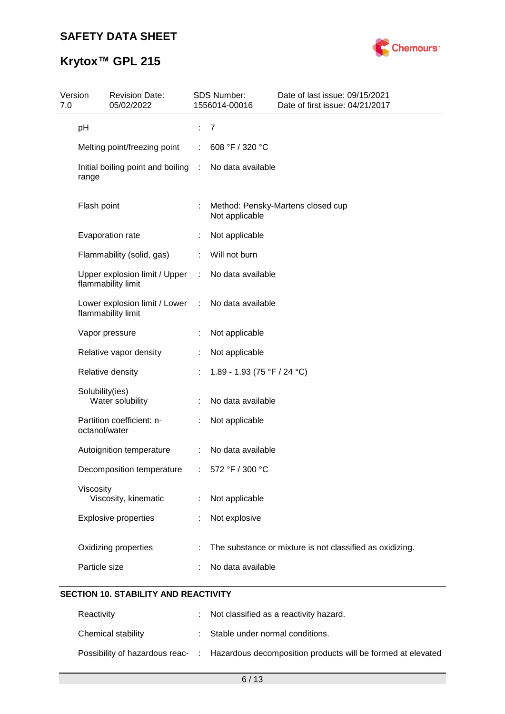

# **Krytox™ GPL 215**

| Version<br>7.0 | <b>Revision Date:</b><br>05/02/2022                   |   | SDS Number:<br>1556014-00016 | Date of last issue: 09/15/2021<br>Date of first issue: 04/21/2017 |  |
|----------------|-------------------------------------------------------|---|------------------------------|-------------------------------------------------------------------|--|
|                | pH                                                    | ÷ | $\overline{7}$               |                                                                   |  |
|                | Melting point/freezing point                          |   | 608 °F / 320 °C              |                                                                   |  |
|                | Initial boiling point and boiling :<br>range          |   | No data available            |                                                                   |  |
|                | Flash point                                           | ÷ | Not applicable               | Method: Pensky-Martens closed cup                                 |  |
|                | Evaporation rate                                      |   | Not applicable               |                                                                   |  |
|                | Flammability (solid, gas)                             |   | Will not burn                |                                                                   |  |
|                | Upper explosion limit / Upper :<br>flammability limit |   | No data available            |                                                                   |  |
|                | Lower explosion limit / Lower<br>flammability limit   | ÷ | No data available            |                                                                   |  |
|                | Vapor pressure                                        |   | Not applicable               |                                                                   |  |
|                | Relative vapor density                                |   | Not applicable               |                                                                   |  |
|                | Relative density                                      |   | 1.89 - 1.93 (75 °F / 24 °C)  |                                                                   |  |
|                | Solubility(ies)<br>Water solubility                   |   | No data available            |                                                                   |  |
|                | Partition coefficient: n-<br>octanol/water            |   | Not applicable               |                                                                   |  |
|                | Autoignition temperature                              | ÷ | No data available            |                                                                   |  |
|                | Decomposition temperature                             |   | 572 °F / 300 °C              |                                                                   |  |
|                | Viscosity<br>Viscosity, kinematic                     | ÷ | Not applicable               |                                                                   |  |
|                | <b>Explosive properties</b>                           |   | Not explosive                |                                                                   |  |
|                | Oxidizing properties                                  |   |                              | The substance or mixture is not classified as oxidizing.          |  |
|                | Particle size                                         |   | No data available            |                                                                   |  |
|                |                                                       |   |                              |                                                                   |  |

## **SECTION 10. STABILITY AND REACTIVITY**

| Reactivity         | : Not classified as a reactivity hazard.                                                     |
|--------------------|----------------------------------------------------------------------------------------------|
| Chemical stability | : Stable under normal conditions.                                                            |
|                    | Possibility of hazardous reac- : Hazardous decomposition products will be formed at elevated |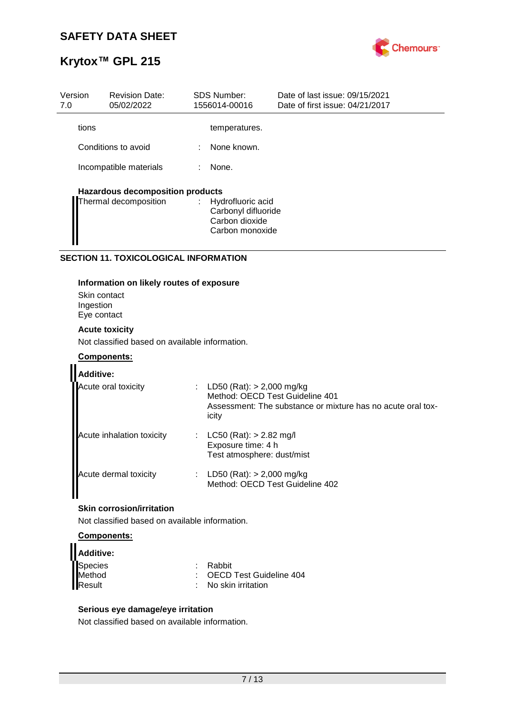

| Version<br>7.0 | <b>Revision Date:</b><br>05/02/2022     |   | SDS Number:<br>1556014-00016                                                    | Date of last issue: 09/15/2021<br>Date of first issue: 04/21/2017 |
|----------------|-----------------------------------------|---|---------------------------------------------------------------------------------|-------------------------------------------------------------------|
| tions          |                                         |   | temperatures.                                                                   |                                                                   |
|                | Conditions to avoid                     | ÷ | None known.                                                                     |                                                                   |
|                | Incompatible materials                  |   | None.                                                                           |                                                                   |
|                | <b>Hazardous decomposition products</b> |   |                                                                                 |                                                                   |
|                | Thermal decomposition                   |   | : Hydrofluoric acid<br>Carbonyl difluoride<br>Carbon dioxide<br>Carbon monoxide |                                                                   |

### **SECTION 11. TOXICOLOGICAL INFORMATION**

#### **Information on likely routes of exposure**

Skin contact Ingestion Eye contact

#### **Acute toxicity**

Not classified based on available information.

#### **Components:**

| <b>Additive:</b>          |                                                                                                                                          |
|---------------------------|------------------------------------------------------------------------------------------------------------------------------------------|
| Acute oral toxicity       | : LD50 (Rat): $> 2,000$ mg/kg<br>Method: OECD Test Guideline 401<br>Assessment: The substance or mixture has no acute oral tox-<br>icity |
| Acute inhalation toxicity | LC50 (Rat): > 2.82 mg/l<br>Exposure time: 4 h<br>Test atmosphere: dust/mist                                                              |
| Acute dermal toxicity     | LD50 (Rat): $> 2,000$ mg/kg<br>Method: OECD Test Guideline 402                                                                           |

### **Skin corrosion/irritation**

Not classified based on available information.

### **Components:**

| Additive: |                                 |
|-----------|---------------------------------|
| Species   | : Rabbit                        |
| Method    | : OECD Test Guideline 404       |
| Result    | $\therefore$ No skin irritation |

#### **Serious eye damage/eye irritation**

Not classified based on available information.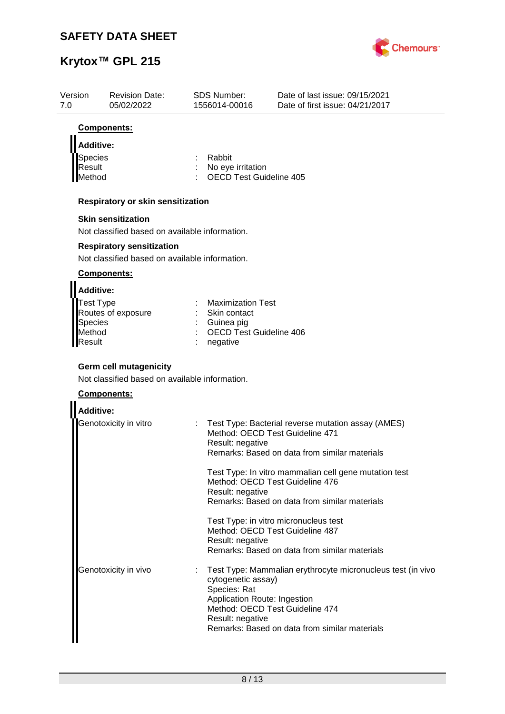

| 7.0                             | <b>Revision Date:</b><br>05/02/2022            | SDS Number:<br>1556014-00016                                    | Date of last issue: 09/15/2021<br>Date of first issue: 04/21/2017 |
|---------------------------------|------------------------------------------------|-----------------------------------------------------------------|-------------------------------------------------------------------|
| Components:                     |                                                |                                                                 |                                                                   |
| <b>Additive:</b>                |                                                |                                                                 |                                                                   |
| Species                         |                                                | Rabbit                                                          |                                                                   |
| Result<br>Method                |                                                | No eye irritation<br><b>OECD Test Guideline 405</b>             |                                                                   |
|                                 |                                                |                                                                 |                                                                   |
|                                 | Respiratory or skin sensitization              |                                                                 |                                                                   |
| <b>Skin sensitization</b>       |                                                |                                                                 |                                                                   |
|                                 | Not classified based on available information. |                                                                 |                                                                   |
|                                 | <b>Respiratory sensitization</b>               |                                                                 |                                                                   |
|                                 | Not classified based on available information. |                                                                 |                                                                   |
| <b>Components:</b>              |                                                |                                                                 |                                                                   |
| <b>Additive:</b>                |                                                | <b>Maximization Test</b>                                        |                                                                   |
| Test Type<br>Routes of exposure |                                                | Skin contact                                                    |                                                                   |
| Species                         |                                                | Guinea pig                                                      |                                                                   |
| Method<br>Result                |                                                | <b>OECD Test Guideline 406</b><br>negative                      |                                                                   |
|                                 |                                                |                                                                 |                                                                   |
| <b>Germ cell mutagenicity</b>   | Not classified based on available information. |                                                                 |                                                                   |
| Components:                     |                                                |                                                                 |                                                                   |
| <b>Additive:</b>                |                                                |                                                                 |                                                                   |
| Genotoxicity in vitro           |                                                |                                                                 | Test Type: Bacterial reverse mutation assay (AMES)                |
|                                 |                                                | Method: OECD Test Guideline 471<br>Result: negative             |                                                                   |
|                                 |                                                |                                                                 | Remarks: Based on data from similar materials                     |
|                                 |                                                |                                                                 | Test Type: In vitro mammalian cell gene mutation test             |
|                                 |                                                | Result: negative                                                | Method: OECD Test Guideline 476                                   |
|                                 |                                                |                                                                 | Remarks: Based on data from similar materials                     |
|                                 |                                                |                                                                 | Test Type: in vitro micronucleus test                             |
|                                 |                                                |                                                                 | Method: OECD Test Guideline 487                                   |
|                                 |                                                | Result: negative                                                | Remarks: Based on data from similar materials                     |
| Genotoxicity in vivo            |                                                |                                                                 | Test Type: Mammalian erythrocyte micronucleus test (in vivo       |
|                                 |                                                | cytogenetic assay)                                              |                                                                   |
|                                 |                                                | Species: Rat                                                    |                                                                   |
|                                 |                                                | Application Route: Ingestion<br>Method: OECD Test Guideline 474 |                                                                   |
|                                 |                                                | Result: negative                                                | Remarks: Based on data from similar materials                     |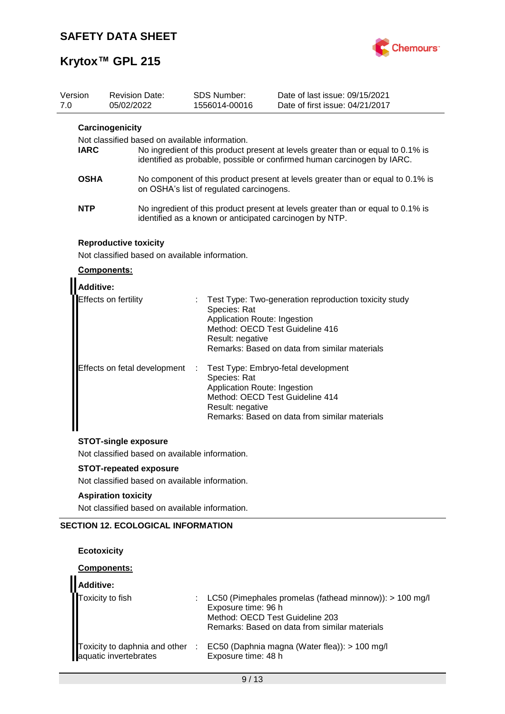

| Version<br>7.0 |                                                                                 | 05/02/2022           | <b>Revision Date:</b>                                                          |   | <b>SDS Number:</b><br>1556014-00016                                                                 | Date of last issue: 09/15/2021<br>Date of first issue: 04/21/2017                                                                                           |
|----------------|---------------------------------------------------------------------------------|----------------------|--------------------------------------------------------------------------------|---|-----------------------------------------------------------------------------------------------------|-------------------------------------------------------------------------------------------------------------------------------------------------------------|
|                | <b>IARC</b>                                                                     | Carcinogenicity      | Not classified based on available information.                                 |   |                                                                                                     | No ingredient of this product present at levels greater than or equal to 0.1% is<br>identified as probable, possible or confirmed human carcinogen by IARC. |
|                | <b>OSHA</b>                                                                     |                      |                                                                                |   | on OSHA's list of regulated carcinogens.                                                            | No component of this product present at levels greater than or equal to 0.1% is                                                                             |
|                | <b>NTP</b>                                                                      |                      |                                                                                |   |                                                                                                     | No ingredient of this product present at levels greater than or equal to 0.1% is<br>identified as a known or anticipated carcinogen by NTP.                 |
|                | Components:                                                                     |                      | <b>Reproductive toxicity</b><br>Not classified based on available information. |   |                                                                                                     |                                                                                                                                                             |
|                | <b>Additive:</b>                                                                | Effects on fertility |                                                                                |   | Species: Rat<br>Application Route: Ingestion<br>Method: OECD Test Guideline 416<br>Result: negative | Test Type: Two-generation reproduction toxicity study<br>Remarks: Based on data from similar materials                                                      |
|                |                                                                                 |                      | Effects on fetal development                                                   | ÷ | Species: Rat<br>Application Route: Ingestion<br>Method: OECD Test Guideline 414<br>Result: negative | Test Type: Embryo-fetal development<br>Remarks: Based on data from similar materials                                                                        |
|                |                                                                                 |                      | <b>STOT-single exposure</b><br>Not classified based on available information.  |   |                                                                                                     |                                                                                                                                                             |
|                |                                                                                 |                      |                                                                                |   |                                                                                                     |                                                                                                                                                             |
|                | <b>STOT-repeated exposure</b><br>Not classified based on available information. |                      |                                                                                |   |                                                                                                     |                                                                                                                                                             |

## **Aspiration toxicity**

Not classified based on available information.

## **SECTION 12. ECOLOGICAL INFORMATION**

### **Ecotoxicity**

#### **Components:**

| Additive:        |                                                                                                                                                                        |
|------------------|------------------------------------------------------------------------------------------------------------------------------------------------------------------------|
| Toxicity to fish | : LC50 (Pimephales promelas (fathead minnow)): $> 100$ mg/l<br>Exposure time: 96 h<br>Method: OECD Test Guideline 203<br>Remarks: Based on data from similar materials |
|                  | Toxicity to daphnia and other : EC50 (Daphnia magna (Water flea)): > 100 mg/l<br>aquatic invertebrates Exposure time: 48 h                                             |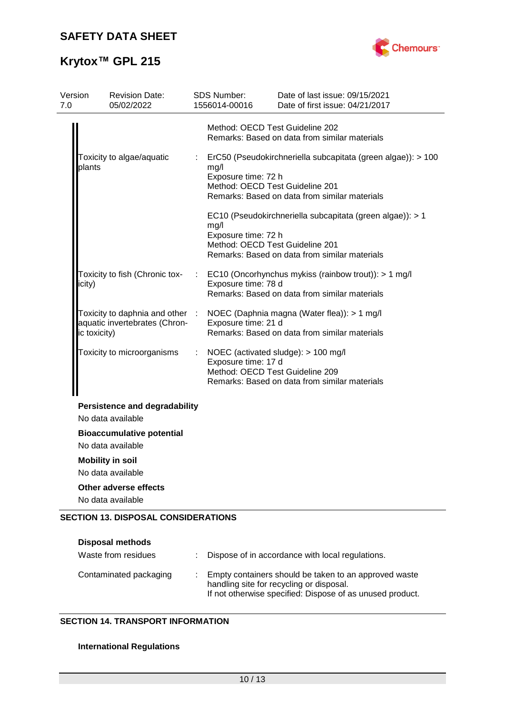

# **Krytox™ GPL 215**

| Version<br>7.0 | <b>Revision Date:</b><br>05/02/2022                                              |    | SDS Number:<br>1556014-00016                                   | Date of last issue: 09/15/2021<br>Date of first issue: 04/21/2017                                             |
|----------------|----------------------------------------------------------------------------------|----|----------------------------------------------------------------|---------------------------------------------------------------------------------------------------------------|
|                |                                                                                  |    | Method: OECD Test Guideline 202                                | Remarks: Based on data from similar materials                                                                 |
|                | Toxicity to algae/aquatic<br>plants                                              | ÷. | mg/l<br>Exposure time: 72 h<br>Method: OECD Test Guideline 201 | ErC50 (Pseudokirchneriella subcapitata (green algae)): > 100<br>Remarks: Based on data from similar materials |
|                |                                                                                  |    | mg/l<br>Exposure time: 72 h<br>Method: OECD Test Guideline 201 | EC10 (Pseudokirchneriella subcapitata (green algae)): > 1<br>Remarks: Based on data from similar materials    |
|                | Toxicity to fish (Chronic tox-<br>icity)                                         |    | Exposure time: 78 d                                            | EC10 (Oncorhynchus mykiss (rainbow trout)): > 1 mg/l<br>Remarks: Based on data from similar materials         |
|                | Toxicity to daphnia and other :<br>aquatic invertebrates (Chron-<br>ic toxicity) |    | Exposure time: 21 d                                            | NOEC (Daphnia magna (Water flea)): > 1 mg/l<br>Remarks: Based on data from similar materials                  |
|                | Toxicity to microorganisms                                                       | ÷  | Exposure time: 17 d<br>Method: OECD Test Guideline 209         | NOEC (activated sludge): > 100 mg/l<br>Remarks: Based on data from similar materials                          |
|                | <b>Persistence and degradability</b><br>No data available                        |    |                                                                |                                                                                                               |
|                | <b>Bioaccumulative potential</b><br>No data available                            |    |                                                                |                                                                                                               |
|                | <b>Mobility in soil</b><br>No data available                                     |    |                                                                |                                                                                                               |
|                | Other adverse effects<br>No data available                                       |    |                                                                |                                                                                                               |
|                | <b>SECTION 13. DISPOSAL CONSIDERATIONS</b>                                       |    |                                                                |                                                                                                               |

| <b>Disposal methods</b><br>Waste from residues | Dispose of in accordance with local regulations.                                                                                                               |
|------------------------------------------------|----------------------------------------------------------------------------------------------------------------------------------------------------------------|
| Contaminated packaging                         | Empty containers should be taken to an approved waste<br>handling site for recycling or disposal.<br>If not otherwise specified: Dispose of as unused product. |

### **SECTION 14. TRANSPORT INFORMATION**

### **International Regulations**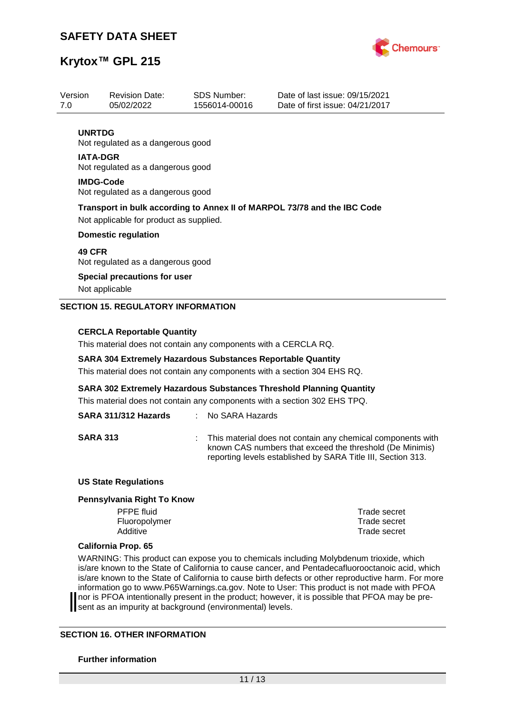

## **Krytox™ GPL 215**

| Version         | <b>Revision Date:</b>                                                                                                    | SDS Number:   | Date of last issue: 09/15/2021  |  |  |  |
|-----------------|--------------------------------------------------------------------------------------------------------------------------|---------------|---------------------------------|--|--|--|
| 7.0             | 05/02/2022                                                                                                               | 1556014-00016 | Date of first issue: 04/21/2017 |  |  |  |
|                 |                                                                                                                          |               |                                 |  |  |  |
| <b>UNRTDG</b>   |                                                                                                                          |               |                                 |  |  |  |
|                 | Not regulated as a dangerous good                                                                                        |               |                                 |  |  |  |
| <b>IATA-DGR</b> |                                                                                                                          |               |                                 |  |  |  |
|                 | Not regulated as a dangerous good                                                                                        |               |                                 |  |  |  |
|                 | <b>IMDG-Code</b>                                                                                                         |               |                                 |  |  |  |
|                 | Not regulated as a dangerous good                                                                                        |               |                                 |  |  |  |
|                 | Transport in bulk according to Annex II of MARPOL 73/78 and the IBC Code                                                 |               |                                 |  |  |  |
|                 | Not applicable for product as supplied.                                                                                  |               |                                 |  |  |  |
|                 | <b>Domestic regulation</b>                                                                                               |               |                                 |  |  |  |
|                 |                                                                                                                          |               |                                 |  |  |  |
|                 |                                                                                                                          |               |                                 |  |  |  |
|                 |                                                                                                                          |               |                                 |  |  |  |
|                 |                                                                                                                          |               |                                 |  |  |  |
|                 |                                                                                                                          |               |                                 |  |  |  |
|                 | <b>SECTION 15. REGULATORY INFORMATION</b>                                                                                |               |                                 |  |  |  |
|                 |                                                                                                                          |               |                                 |  |  |  |
|                 |                                                                                                                          |               |                                 |  |  |  |
| <b>49 CFR</b>   | Not regulated as a dangerous good<br>Special precautions for user<br>Not applicable<br><b>CERCLA Reportable Quantity</b> |               |                                 |  |  |  |

This material does not contain any components with a CERCLA RQ.

#### **SARA 304 Extremely Hazardous Substances Reportable Quantity**

This material does not contain any components with a section 304 EHS RQ.

**SARA 302 Extremely Hazardous Substances Threshold Planning Quantity**

This material does not contain any components with a section 302 EHS TPQ.

## **SARA 311/312 Hazards** : No SARA Hazards

**SARA 313** : This material does not contain any chemical components with known CAS numbers that exceed the threshold (De Minimis) reporting levels established by SARA Title III, Section 313.

#### **US State Regulations**

#### **Pennsylvania Right To Know**

PFPE fluid Trade secret Fluoropolymer Trade secret Additive **Trade secret** 

#### **California Prop. 65**

WARNING: This product can expose you to chemicals including Molybdenum trioxide, which is/are known to the State of California to cause cancer, and Pentadecafluorooctanoic acid, which is/are known to the State of California to cause birth defects or other reproductive harm. For more information go to www.P65Warnings.ca.gov. Note to User: This product is not made with PFOA nor is PFOA intentionally present in the product; however, it is possible that PFOA may be present as an impurity at background (environmental) levels.

#### **SECTION 16. OTHER INFORMATION**

#### **Further information**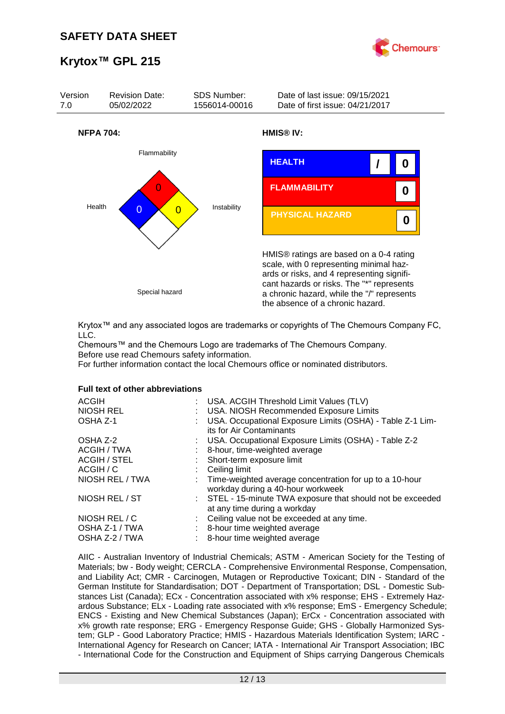



Krytox™ and any associated logos are trademarks or copyrights of The Chemours Company FC, LLC.

Chemours™ and the Chemours Logo are trademarks of The Chemours Company. Before use read Chemours safety information.

For further information contact the local Chemours office or nominated distributors.

#### **Full text of other abbreviations**

| <b>ACGIH</b><br>: USA. ACGIH Threshold Limit Values (TLV)<br>NIOSH REL<br>: USA. NIOSH Recommended Exposure Limits<br>USA. Occupational Exposure Limits (OSHA) - Table Z-1 Lim-<br>OSHA Z-1<br>its for Air Contaminants |  |
|-------------------------------------------------------------------------------------------------------------------------------------------------------------------------------------------------------------------------|--|
| : USA. Occupational Exposure Limits (OSHA) - Table Z-2<br>OSHA Z-2                                                                                                                                                      |  |
| ACGIH / TWA<br>8-hour, time-weighted average                                                                                                                                                                            |  |
| <b>ACGIH / STEL</b><br>: Short-term exposure limit                                                                                                                                                                      |  |
| ACGIH / C<br>Ceiling limit                                                                                                                                                                                              |  |
| NIOSH REL / TWA<br>: Time-weighted average concentration for up to a 10-hour<br>workday during a 40-hour workweek                                                                                                       |  |
| NIOSH REL / ST<br>: STEL - 15-minute TWA exposure that should not be exceeded<br>at any time during a workday                                                                                                           |  |
| NIOSH REL / C<br>: Ceiling value not be exceeded at any time.                                                                                                                                                           |  |
| OSHA Z-1 / TWA<br>8-hour time weighted average                                                                                                                                                                          |  |
| OSHA Z-2 / TWA<br>8-hour time weighted average                                                                                                                                                                          |  |

AIIC - Australian Inventory of Industrial Chemicals; ASTM - American Society for the Testing of Materials; bw - Body weight; CERCLA - Comprehensive Environmental Response, Compensation, and Liability Act; CMR - Carcinogen, Mutagen or Reproductive Toxicant; DIN - Standard of the German Institute for Standardisation; DOT - Department of Transportation; DSL - Domestic Substances List (Canada); ECx - Concentration associated with x% response; EHS - Extremely Hazardous Substance; ELx - Loading rate associated with x% response; EmS - Emergency Schedule; ENCS - Existing and New Chemical Substances (Japan); ErCx - Concentration associated with x% growth rate response; ERG - Emergency Response Guide; GHS - Globally Harmonized System; GLP - Good Laboratory Practice; HMIS - Hazardous Materials Identification System; IARC - International Agency for Research on Cancer; IATA - International Air Transport Association; IBC - International Code for the Construction and Equipment of Ships carrying Dangerous Chemicals